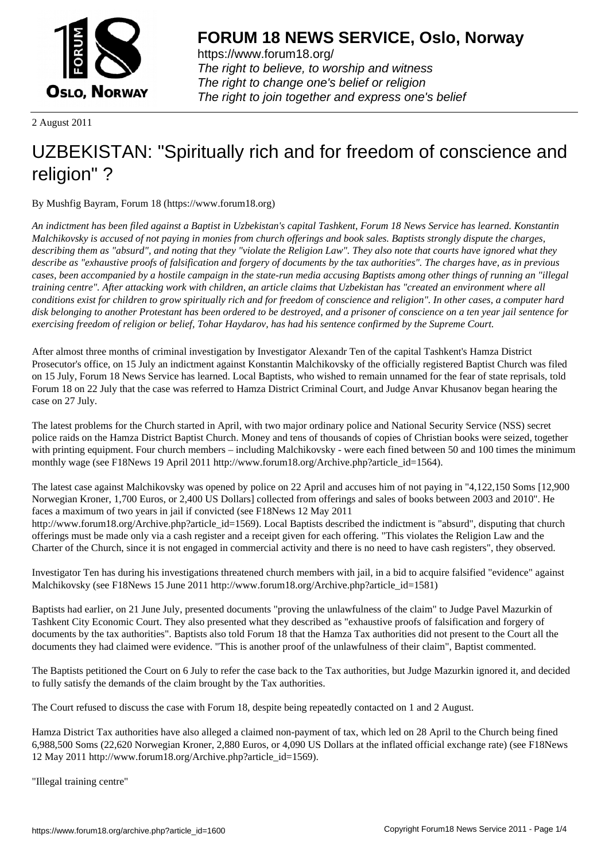

https://www.forum18.org/ The right to believe, to worship and witness The right to change one's belief or religion [The right to join together a](https://www.forum18.org/)nd express one's belief

2 August 2011

# [UZBEKISTAN:](https://www.forum18.org) "Spiritually rich and for freedom of conscience and religion" ?

By Mushfig Bayram, Forum 18 (https://www.forum18.org)

*An indictment has been filed against a Baptist in Uzbekistan's capital Tashkent, Forum 18 News Service has learned. Konstantin Malchikovsky is accused of not paying in monies from church offerings and book sales. Baptists strongly dispute the charges, describing them as "absurd", and noting that they "violate the Religion Law". They also note that courts have ignored what they describe as "exhaustive proofs of falsification and forgery of documents by the tax authorities". The charges have, as in previous cases, been accompanied by a hostile campaign in the state-run media accusing Baptists among other things of running an "illegal training centre". After attacking work with children, an article claims that Uzbekistan has "created an environment where all conditions exist for children to grow spiritually rich and for freedom of conscience and religion". In other cases, a computer hard disk belonging to another Protestant has been ordered to be destroyed, and a prisoner of conscience on a ten year jail sentence for exercising freedom of religion or belief, Tohar Haydarov, has had his sentence confirmed by the Supreme Court.*

After almost three months of criminal investigation by Investigator Alexandr Ten of the capital Tashkent's Hamza District Prosecutor's office, on 15 July an indictment against Konstantin Malchikovsky of the officially registered Baptist Church was filed on 15 July, Forum 18 News Service has learned. Local Baptists, who wished to remain unnamed for the fear of state reprisals, told Forum 18 on 22 July that the case was referred to Hamza District Criminal Court, and Judge Anvar Khusanov began hearing the case on 27 July.

The latest problems for the Church started in April, with two major ordinary police and National Security Service (NSS) secret police raids on the Hamza District Baptist Church. Money and tens of thousands of copies of Christian books were seized, together with printing equipment. Four church members – including Malchikovsky - were each fined between 50 and 100 times the minimum monthly wage (see F18News 19 April 2011 http://www.forum18.org/Archive.php?article\_id=1564).

The latest case against Malchikovsky was opened by police on 22 April and accuses him of not paying in "4,122,150 Soms [12,900 Norwegian Kroner, 1,700 Euros, or 2,400 US Dollars] collected from offerings and sales of books between 2003 and 2010". He faces a maximum of two years in jail if convicted (see F18News 12 May 2011

http://www.forum18.org/Archive.php?article\_id=1569). Local Baptists described the indictment is "absurd", disputing that church offerings must be made only via a cash register and a receipt given for each offering. "This violates the Religion Law and the Charter of the Church, since it is not engaged in commercial activity and there is no need to have cash registers", they observed.

Investigator Ten has during his investigations threatened church members with jail, in a bid to acquire falsified "evidence" against Malchikovsky (see F18News 15 June 2011 http://www.forum18.org/Archive.php?article\_id=1581)

Baptists had earlier, on 21 June July, presented documents "proving the unlawfulness of the claim" to Judge Pavel Mazurkin of Tashkent City Economic Court. They also presented what they described as "exhaustive proofs of falsification and forgery of documents by the tax authorities". Baptists also told Forum 18 that the Hamza Tax authorities did not present to the Court all the documents they had claimed were evidence. "This is another proof of the unlawfulness of their claim", Baptist commented.

The Baptists petitioned the Court on 6 July to refer the case back to the Tax authorities, but Judge Mazurkin ignored it, and decided to fully satisfy the demands of the claim brought by the Tax authorities.

The Court refused to discuss the case with Forum 18, despite being repeatedly contacted on 1 and 2 August.

Hamza District Tax authorities have also alleged a claimed non-payment of tax, which led on 28 April to the Church being fined 6,988,500 Soms (22,620 Norwegian Kroner, 2,880 Euros, or 4,090 US Dollars at the inflated official exchange rate) (see F18News 12 May 2011 http://www.forum18.org/Archive.php?article\_id=1569).

"Illegal training centre"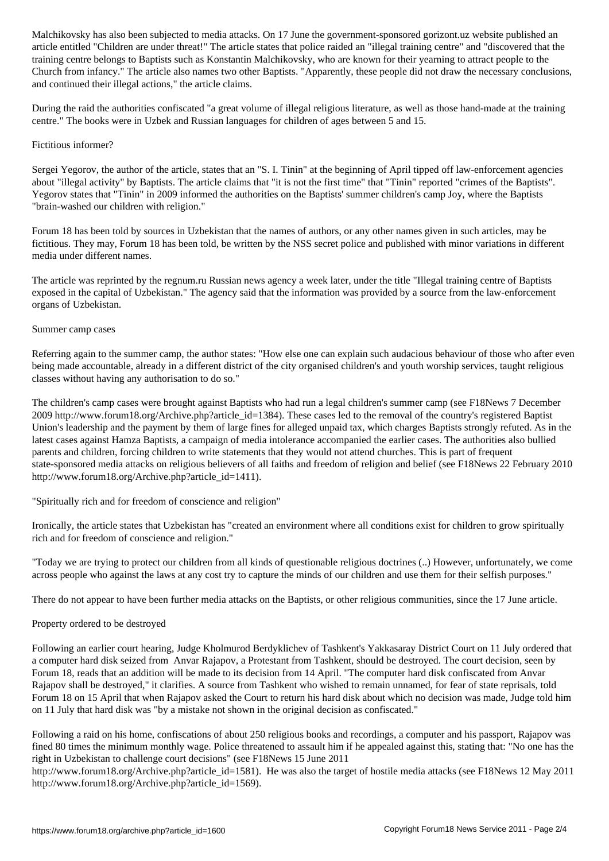article entitled "Children are under threat!" The article states that police raided an "illegal training centre" and "discovered that the training centre belongs to Baptists such as Konstantin Malchikovsky, who are known for their yearning to attract people to the Church from infancy." The article also names two other Baptists. "Apparently, these people did not draw the necessary conclusions, and continued their illegal actions," the article claims.

During the raid the authorities confiscated "a great volume of illegal religious literature, as well as those hand-made at the training centre." The books were in Uzbek and Russian languages for children of ages between 5 and 15.

### Fictitious informer?

Sergei Yegorov, the author of the article, states that an "S. I. Tinin" at the beginning of April tipped off law-enforcement agencies about "illegal activity" by Baptists. The article claims that "it is not the first time" that "Tinin" reported "crimes of the Baptists". Yegorov states that "Tinin" in 2009 informed the authorities on the Baptists' summer children's camp Joy, where the Baptists "brain-washed our children with religion."

Forum 18 has been told by sources in Uzbekistan that the names of authors, or any other names given in such articles, may be fictitious. They may, Forum 18 has been told, be written by the NSS secret police and published with minor variations in different media under different names.

The article was reprinted by the regnum.ru Russian news agency a week later, under the title "Illegal training centre of Baptists exposed in the capital of Uzbekistan." The agency said that the information was provided by a source from the law-enforcement organs of Uzbekistan.

### Summer camp cases

Referring again to the summer camp, the author states: "How else one can explain such audacious behaviour of those who after even being made accountable, already in a different district of the city organised children's and youth worship services, taught religious classes without having any authorisation to do so."

The children's camp cases were brought against Baptists who had run a legal children's summer camp (see F18News 7 December 2009 http://www.forum18.org/Archive.php?article\_id=1384). These cases led to the removal of the country's registered Baptist Union's leadership and the payment by them of large fines for alleged unpaid tax, which charges Baptists strongly refuted. As in the latest cases against Hamza Baptists, a campaign of media intolerance accompanied the earlier cases. The authorities also bullied parents and children, forcing children to write statements that they would not attend churches. This is part of frequent state-sponsored media attacks on religious believers of all faiths and freedom of religion and belief (see F18News 22 February 2010 http://www.forum18.org/Archive.php?article\_id=1411).

"Spiritually rich and for freedom of conscience and religion"

Ironically, the article states that Uzbekistan has "created an environment where all conditions exist for children to grow spiritually rich and for freedom of conscience and religion."

"Today we are trying to protect our children from all kinds of questionable religious doctrines (..) However, unfortunately, we come across people who against the laws at any cost try to capture the minds of our children and use them for their selfish purposes."

There do not appear to have been further media attacks on the Baptists, or other religious communities, since the 17 June article.

#### Property ordered to be destroyed

Following an earlier court hearing, Judge Kholmurod Berdyklichev of Tashkent's Yakkasaray District Court on 11 July ordered that a computer hard disk seized from Anvar Rajapov, a Protestant from Tashkent, should be destroyed. The court decision, seen by Forum 18, reads that an addition will be made to its decision from 14 April. "The computer hard disk confiscated from Anvar Rajapov shall be destroyed," it clarifies. A source from Tashkent who wished to remain unnamed, for fear of state reprisals, told Forum 18 on 15 April that when Rajapov asked the Court to return his hard disk about which no decision was made, Judge told him on 11 July that hard disk was "by a mistake not shown in the original decision as confiscated."

Following a raid on his home, confiscations of about 250 religious books and recordings, a computer and his passport, Rajapov was fined 80 times the minimum monthly wage. Police threatened to assault him if he appealed against this, stating that: "No one has the right in Uzbekistan to challenge court decisions" (see F18News 15 June 2011

http://www.forum18.org/Archive.php?article\_id=1581). He was also the target of hostile media attacks (see F18News 12 May 2011 http://www.forum18.org/Archive.php?article\_id=1569).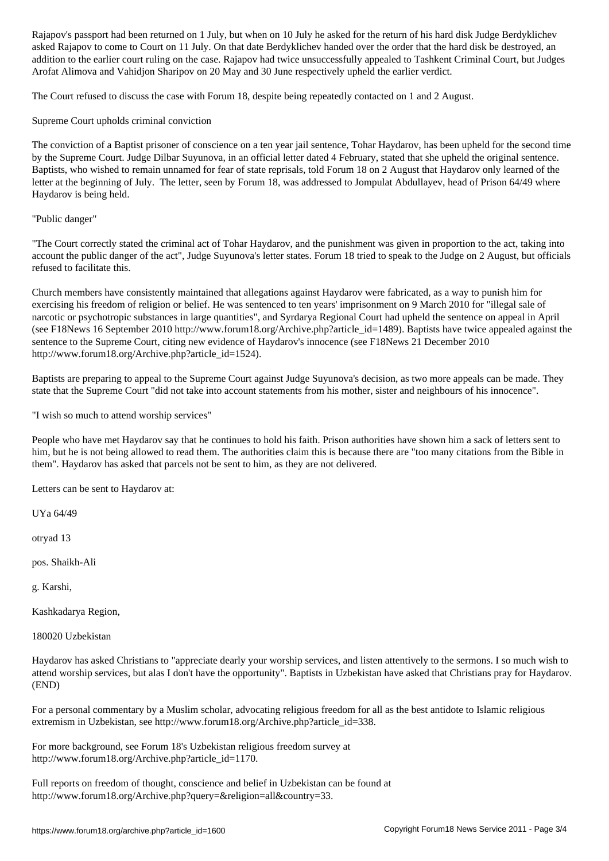asked Rajapov to come to Court on 11 July. On that date Berdyklichev handed over the order that the hard disk be destroyed, an addition to the earlier court ruling on the case. Rajapov had twice unsuccessfully appealed to Tashkent Criminal Court, but Judges Arofat Alimova and Vahidjon Sharipov on 20 May and 30 June respectively upheld the earlier verdict.

The Court refused to discuss the case with Forum 18, despite being repeatedly contacted on 1 and 2 August.

Supreme Court upholds criminal conviction

The conviction of a Baptist prisoner of conscience on a ten year jail sentence, Tohar Haydarov, has been upheld for the second time by the Supreme Court. Judge Dilbar Suyunova, in an official letter dated 4 February, stated that she upheld the original sentence. Baptists, who wished to remain unnamed for fear of state reprisals, told Forum 18 on 2 August that Haydarov only learned of the letter at the beginning of July. The letter, seen by Forum 18, was addressed to Jompulat Abdullayev, head of Prison 64/49 where Haydarov is being held.

"Public danger"

"The Court correctly stated the criminal act of Tohar Haydarov, and the punishment was given in proportion to the act, taking into account the public danger of the act", Judge Suyunova's letter states. Forum 18 tried to speak to the Judge on 2 August, but officials refused to facilitate this.

Church members have consistently maintained that allegations against Haydarov were fabricated, as a way to punish him for exercising his freedom of religion or belief. He was sentenced to ten years' imprisonment on 9 March 2010 for "illegal sale of narcotic or psychotropic substances in large quantities", and Syrdarya Regional Court had upheld the sentence on appeal in April (see F18News 16 September 2010 http://www.forum18.org/Archive.php?article\_id=1489). Baptists have twice appealed against the sentence to the Supreme Court, citing new evidence of Haydarov's innocence (see F18News 21 December 2010 http://www.forum18.org/Archive.php?article\_id=1524).

Baptists are preparing to appeal to the Supreme Court against Judge Suyunova's decision, as two more appeals can be made. They state that the Supreme Court "did not take into account statements from his mother, sister and neighbours of his innocence".

"I wish so much to attend worship services"

People who have met Haydarov say that he continues to hold his faith. Prison authorities have shown him a sack of letters sent to him, but he is not being allowed to read them. The authorities claim this is because there are "too many citations from the Bible in them". Haydarov has asked that parcels not be sent to him, as they are not delivered.

Letters can be sent to Haydarov at:

UYa 64/49

otryad 13

pos. Shaikh-Ali

g. Karshi,

Kashkadarya Region,

180020 Uzbekistan

Haydarov has asked Christians to "appreciate dearly your worship services, and listen attentively to the sermons. I so much wish to attend worship services, but alas I don't have the opportunity". Baptists in Uzbekistan have asked that Christians pray for Haydarov. (END)

For a personal commentary by a Muslim scholar, advocating religious freedom for all as the best antidote to Islamic religious extremism in Uzbekistan, see http://www.forum18.org/Archive.php?article\_id=338.

For more background, see Forum 18's Uzbekistan religious freedom survey at http://www.forum18.org/Archive.php?article\_id=1170.

Full reports on freedom of thought, conscience and belief in Uzbekistan can be found at http://www.forum18.org/Archive.php?query=&religion=all&country=33.